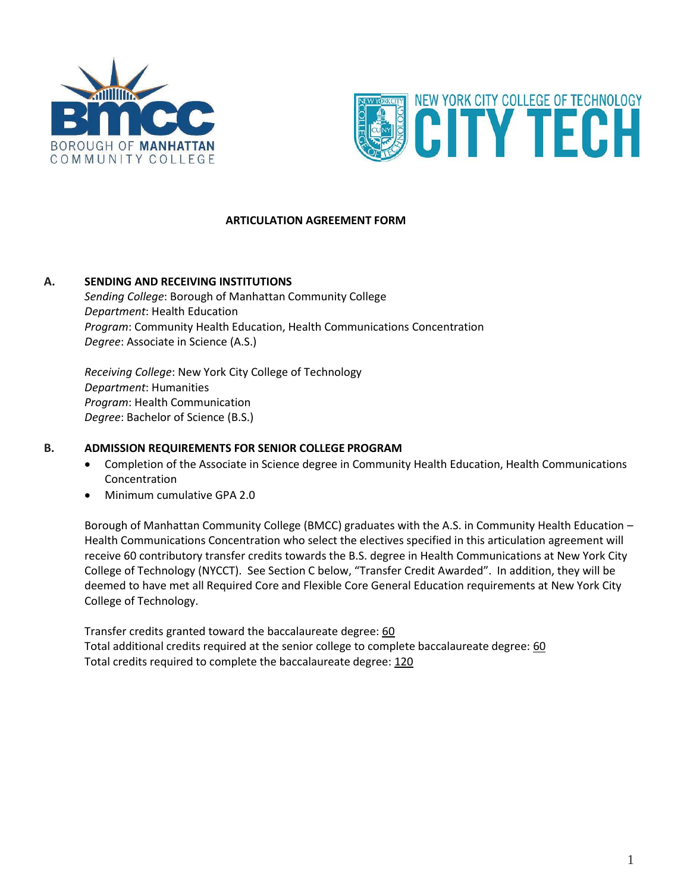



### **ARTICULATION AGREEMENT FORM**

# **A. SENDING AND RECEIVING INSTITUTIONS**  *Sending College*: Borough of Manhattan Community College *Department*: Health Education *Program*: Community Health Education, Health Communications Concentration *Degree*: Associate in Science (A.S.)

*Receiving College*: New York City College of Technology *Department*: Humanities *Program*: Health Communication *Degree*: Bachelor of Science (B.S.)

### **B. ADMISSION REQUIREMENTS FOR SENIOR COLLEGE PROGRAM**

- Completion of the Associate in Science degree in Community Health Education, Health Communications Concentration
- Minimum cumulative GPA 2.0

Borough of Manhattan Community College (BMCC) graduates with the A.S. in Community Health Education – Health Communications Concentration who select the electives specified in this articulation agreement will receive 60 contributory transfer credits towards the B.S. degree in Health Communications at New York City College of Technology (NYCCT). See Section C below, "Transfer Credit Awarded". In addition, they will be deemed to have met all Required Core and Flexible Core General Education requirements at New York City College of Technology.

Total additional credits required at the senior college to complete baccalaureate degree: 60 Total credits required to complete the baccalaureate degree: 120 Transfer credits granted toward the baccalaureate degree: 60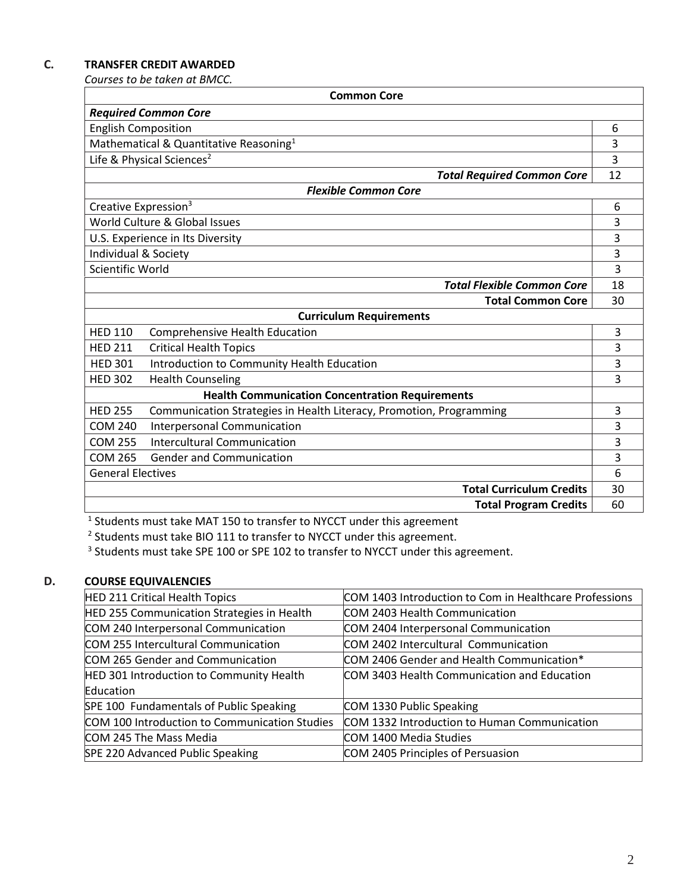### **C. TRANSFER CREDIT AWARDED**

*Courses to be taken at BMCC.* 

| <b>Common Core</b>                                                                    |    |  |
|---------------------------------------------------------------------------------------|----|--|
| <b>Required Common Core</b>                                                           |    |  |
| <b>English Composition</b>                                                            | 6  |  |
| Mathematical & Quantitative Reasoning <sup>1</sup>                                    | 3  |  |
| Life & Physical Sciences <sup>2</sup>                                                 | 3  |  |
| <b>Total Required Common Core</b>                                                     | 12 |  |
| <b>Flexible Common Core</b>                                                           |    |  |
| Creative Expression <sup>3</sup>                                                      | 6  |  |
| World Culture & Global Issues                                                         | 3  |  |
| U.S. Experience in Its Diversity                                                      | 3  |  |
| Individual & Society                                                                  | 3  |  |
| Scientific World                                                                      | 3  |  |
| <b>Total Flexible Common Core</b>                                                     | 18 |  |
| <b>Total Common Core</b>                                                              | 30 |  |
| <b>Curriculum Requirements</b>                                                        |    |  |
| <b>HED 110</b><br><b>Comprehensive Health Education</b>                               | 3  |  |
| <b>Critical Health Topics</b><br><b>HED 211</b>                                       | 3  |  |
| Introduction to Community Health Education<br><b>HED 301</b>                          | 3  |  |
| <b>Health Counseling</b><br><b>HED 302</b>                                            | 3  |  |
| <b>Health Communication Concentration Requirements</b>                                |    |  |
| Communication Strategies in Health Literacy, Promotion, Programming<br><b>HED 255</b> | 3  |  |
| <b>Interpersonal Communication</b><br><b>COM 240</b>                                  | 3  |  |
| <b>Intercultural Communication</b><br><b>COM 255</b>                                  | 3  |  |
| <b>COM 265</b><br><b>Gender and Communication</b>                                     | 3  |  |
| <b>General Electives</b>                                                              |    |  |
| <b>Total Curriculum Credits</b>                                                       | 30 |  |
| <b>Total Program Credits</b>                                                          | 60 |  |

<sup>1</sup> Students must take MAT 150 to transfer to NYCCT under this agreement

<sup>2</sup> Students must take BIO 111 to transfer to NYCCT under this agreement.<br><sup>3</sup> Students must take SPE 100 or SPE 102 to transfer to NYCCT under this agreement.

# **D. COURSE EQUIVALENCIES**

| HED 211 Critical Health Topics                | COM 1403 Introduction to Com in Healthcare Professions |
|-----------------------------------------------|--------------------------------------------------------|
| HED 255 Communication Strategies in Health    | COM 2403 Health Communication                          |
| COM 240 Interpersonal Communication           | COM 2404 Interpersonal Communication                   |
| COM 255 Intercultural Communication           | COM 2402 Intercultural Communication                   |
| COM 265 Gender and Communication              | COM 2406 Gender and Health Communication*              |
| HED 301 Introduction to Community Health      | COM 3403 Health Communication and Education            |
| Education                                     |                                                        |
| SPE 100 Fundamentals of Public Speaking       | COM 1330 Public Speaking                               |
| COM 100 Introduction to Communication Studies | COM 1332 Introduction to Human Communication           |
| COM 245 The Mass Media                        | COM 1400 Media Studies                                 |
| SPE 220 Advanced Public Speaking              | COM 2405 Principles of Persuasion                      |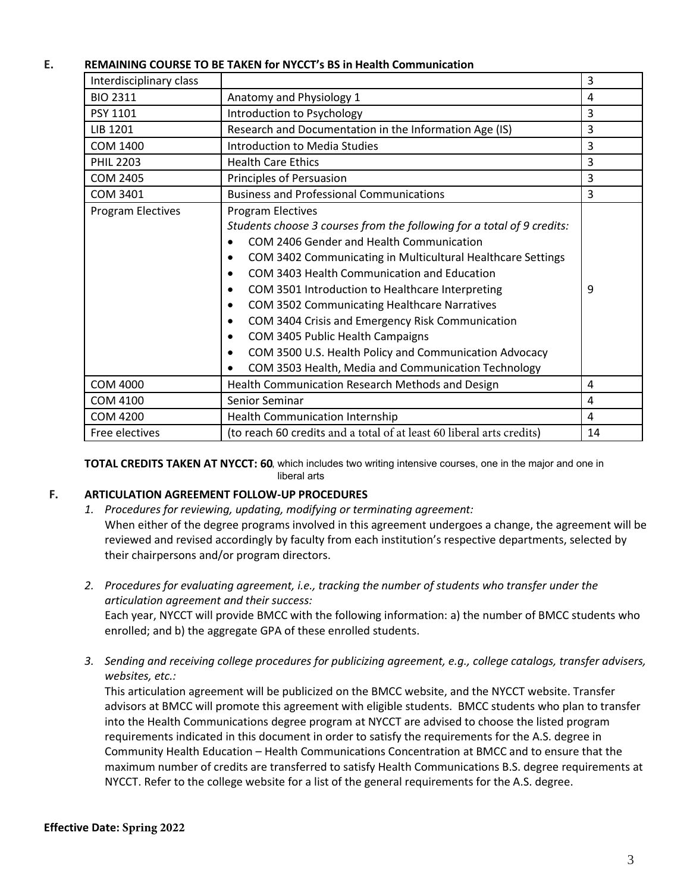# **E. REMAINING COURSE TO BE TAKEN for NYCCT's BS in Health Communication**

| Interdisciplinary class  |                                                                                                                                                                                                                                                                                                                                                                                                                                                                                                                                                                                                                                                                                 | 3  |
|--------------------------|---------------------------------------------------------------------------------------------------------------------------------------------------------------------------------------------------------------------------------------------------------------------------------------------------------------------------------------------------------------------------------------------------------------------------------------------------------------------------------------------------------------------------------------------------------------------------------------------------------------------------------------------------------------------------------|----|
| <b>BIO 2311</b>          | Anatomy and Physiology 1                                                                                                                                                                                                                                                                                                                                                                                                                                                                                                                                                                                                                                                        | 4  |
| PSY 1101                 | Introduction to Psychology                                                                                                                                                                                                                                                                                                                                                                                                                                                                                                                                                                                                                                                      | 3  |
| LIB 1201                 | Research and Documentation in the Information Age (IS)                                                                                                                                                                                                                                                                                                                                                                                                                                                                                                                                                                                                                          | 3  |
| <b>COM 1400</b>          | <b>Introduction to Media Studies</b>                                                                                                                                                                                                                                                                                                                                                                                                                                                                                                                                                                                                                                            |    |
| <b>PHIL 2203</b>         | <b>Health Care Ethics</b>                                                                                                                                                                                                                                                                                                                                                                                                                                                                                                                                                                                                                                                       |    |
| <b>COM 2405</b>          | Principles of Persuasion                                                                                                                                                                                                                                                                                                                                                                                                                                                                                                                                                                                                                                                        |    |
| <b>COM 3401</b>          | <b>Business and Professional Communications</b>                                                                                                                                                                                                                                                                                                                                                                                                                                                                                                                                                                                                                                 | 3  |
| <b>Program Electives</b> | Program Electives<br>Students choose 3 courses from the following for a total of 9 credits:<br>COM 2406 Gender and Health Communication<br>$\bullet$<br>COM 3402 Communicating in Multicultural Healthcare Settings<br>$\bullet$<br>COM 3403 Health Communication and Education<br>$\bullet$<br>COM 3501 Introduction to Healthcare Interpreting<br>$\bullet$<br>COM 3502 Communicating Healthcare Narratives<br>$\bullet$<br>COM 3404 Crisis and Emergency Risk Communication<br>٠<br>COM 3405 Public Health Campaigns<br>$\bullet$<br>COM 3500 U.S. Health Policy and Communication Advocacy<br>$\bullet$<br>COM 3503 Health, Media and Communication Technology<br>$\bullet$ | 9  |
| <b>COM 4000</b>          | Health Communication Research Methods and Design                                                                                                                                                                                                                                                                                                                                                                                                                                                                                                                                                                                                                                | 4  |
| <b>COM 4100</b>          | Senior Seminar                                                                                                                                                                                                                                                                                                                                                                                                                                                                                                                                                                                                                                                                  | 4  |
| <b>COM 4200</b>          | <b>Health Communication Internship</b>                                                                                                                                                                                                                                                                                                                                                                                                                                                                                                                                                                                                                                          | 4  |
| Free electives           | (to reach 60 credits and a total of at least 60 liberal arts credits)                                                                                                                                                                                                                                                                                                                                                                                                                                                                                                                                                                                                           | 14 |

**TOTAL CREDITS TAKEN AT NYCCT: 60** , which includes two writing intensive courses, one in the major and one in liberal arts

# **F. ARTICULATION AGREEMENT FOLLOW-UP PROCEDURES**

- *1. Procedures for reviewing, updating, modifying or terminating agreement:*  When either of the degree programs involved in this agreement undergoes a change, the agreement will be reviewed and revised accordingly by faculty from each institution's respective departments, selected by their chairpersons and/or program directors.
- *2. Procedures for evaluating agreement, i.e., tracking the number of students who transfer under the articulation agreement and their success:*

Each year, NYCCT will provide BMCC with the following information: a) the number of BMCC students who enrolled; and b) the aggregate GPA of these enrolled students.

*3. Sending and receiving college procedures for publicizing agreement, e.g., college catalogs, transfer advisers, websites, etc.:* 

 Community Health Education – Health Communications Concentration at BMCC and to ensure that the This articulation agreement will be publicized on the BMCC website, and the NYCCT website. Transfer advisors at BMCC will promote this agreement with eligible students. BMCC students who plan to transfer into the Health Communications degree program at NYCCT are advised to choose the listed program requirements indicated in this document in order to satisfy the requirements for the A.S. degree in maximum number of credits are transferred to satisfy Health Communications B.S. degree requirements at NYCCT. Refer to the college website for a list of the general requirements for the A.S. degree.